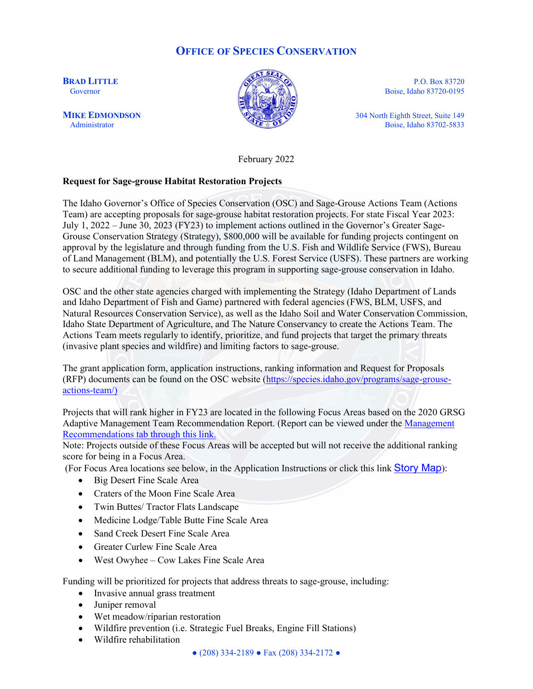# **OFFICE OF SPECIES CONSERVATION**



**BRAD LITTLE** P.O. Box 83720 Governor  $\left| \begin{array}{c} \sqrt{2} \\ \sqrt{2} \end{array} \right|$  Boise, Idaho 83720-0195

**MIKE EDMONDSON** 304 North Eighth Street, Suite 149<br>Administrator Boise, Idaho 83702-5833 Boise, Idaho 83702-5833

February 2022

### **Request for Sage-grouse Habitat Restoration Projects**

The Idaho Governor's Office of Species Conservation (OSC) and Sage-Grouse Actions Team (Actions Team) are accepting proposals for sage-grouse habitat restoration projects. For state Fiscal Year 2023: July 1, 2022 – June 30, 2023 (FY23) to implement actions outlined in the Governor's Greater Sage-Grouse Conservation Strategy (Strategy), \$800,000 will be available for funding projects contingent on approval by the legislature and through funding from the U.S. Fish and Wildlife Service (FWS), Bureau of Land Management (BLM), and potentially the U.S. Forest Service (USFS). These partners are working to secure additional funding to leverage this program in supporting sage-grouse conservation in Idaho.

OSC and the other state agencies charged with implementing the Strategy (Idaho Department of Lands and Idaho Department of Fish and Game) partnered with federal agencies (FWS, BLM, USFS, and Natural Resources Conservation Service), as well as the Idaho Soil and Water Conservation Commission, Idaho State Department of Agriculture, and The Nature Conservancy to create the Actions Team. The Actions Team meets regularly to identify, prioritize, and fund projects that target the primary threats (invasive plant species and wildfire) and limiting factors to sage-grouse.

The grant application form, application instructions, ranking information and Request for Proposals (RFP) documents can be found on the OSC website [\(https://species.idaho.gov/programs/sage](https://species.idaho.gov/programs/sage-grouse-actions-team/))-grouse[actions](https://species.idaho.gov/programs/sage-grouse-actions-team/))-team/)

Projects that will rank higher in FY23 are located in the following Focus Areas based on the 2020 GRSG Adaptive Management Team Recommendation Report. (Report can be viewed under the [Management](https://species.idaho.gov/wildlife-species/greater-sage-grouse/)  [Recommendations tab through this link.](https://species.idaho.gov/wildlife-species/greater-sage-grouse/)

Note: Projects outside of these Focus Areas will be accepted but will not receive the additional ranking score for being in a Focus Area.

(For Focus Area locations see below, in the Application Instructions or click this link **[Story](https://storymaps.arcgis.com/stories/eb8c478e75324ce794c359804bc6d845) Map**):

- Big Desert Fine Scale Area
- Craters of the Moon Fine Scale Area
- Twin Buttes/ Tractor Flats Landscape
- Medicine Lodge/Table Butte Fine Scale Area
- Sand Creek Desert Fine Scale Area
- Greater Curlew Fine Scale Area
- West Owyhee Cow Lakes Fine Scale Area

Funding will be prioritized for projects that address threats to sage-grouse, including:

- Invasive annual grass treatment
- Juniper removal
- Wet meadow/riparian restoration
- Wildfire prevention (i.e. Strategic Fuel Breaks, Engine Fill Stations)
- Wildfire rehabilitation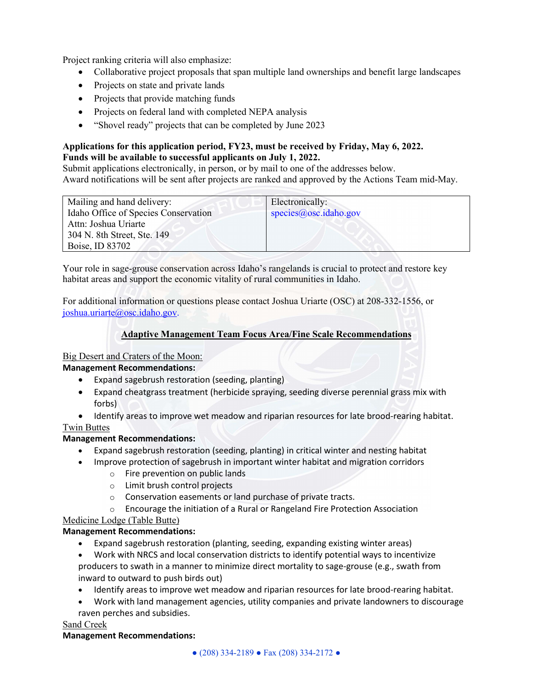Project ranking criteria will also emphasize:

- Collaborative project proposals that span multiple land ownerships and benefit large landscapes
- Projects on state and private lands
- Projects that provide matching funds
- Projects on federal land with completed NEPA analysis
- "Shovel ready" projects that can be completed by June 2023

# **Applications for this application period, FY23, must be received by Friday, May 6, 2022. Funds will be available to successful applicants on July 1, 2022.**

Submit applications electronically, in person, or by mail to one of the addresses below. Award notifications will be sent after projects are ranked and approved by the Actions Team mid-May.

| Mailing and hand delivery:           | Electronically:       |
|--------------------------------------|-----------------------|
| Idaho Office of Species Conservation | species@osc.idaho.gov |
| Attn: Joshua Uriarte                 |                       |
|                                      |                       |
| 304 N. 8th Street, Ste. 149          |                       |
| Boise, ID 83702                      |                       |

Your role in sage-grouse conservation across Idaho's rangelands is crucial to protect and restore key habitat areas and support the economic vitality of rural communities in Idaho.

For additional information or questions please contact Joshua Uriarte (OSC) at 208-332-1556, or [joshua.uriarte@osc.idaho.gov](mailto:joshua.uriarte@osc.idaho.gov).

# **Adaptive Management Team Focus Area/Fine Scale Recommendations**

### Big Desert and Craters of the Moon:

### **Management Recommendations:**

- Expand sagebrush restoration (seeding, planting)
- Expand cheatgrass treatment (herbicide spraying, seeding diverse perennial grass mix with forbs)
- Identify areas to improve wet meadow and riparian resources for late brood-rearing habitat.

### Twin Buttes

# **Management Recommendations:**

- Expand sagebrush restoration (seeding, planting) in critical winter and nesting habitat
- Improve protection of sagebrush in important winter habitat and migration corridors
	- o Fire prevention on public lands
	- o Limit brush control projects
	- o Conservation easements or land purchase of private tracts.
	- o Encourage the initiation of a Rural or Rangeland Fire Protection Association

# Medicine Lodge (Table Butte)

# **Management Recommendations:**

- Expand sagebrush restoration (planting, seeding, expanding existing winter areas)
- Work with NRCS and local conservation districts to identify potential ways to incentivize producers to swath in a manner to minimize direct mortality to sage-grouse (e.g., swath from inward to outward to push birds out)
- Identify areas to improve wet meadow and riparian resources for late brood-rearing habitat.
- Work with land management agencies, utility companies and private landowners to discourage
- raven perches and subsidies.

### Sand Creek

### **Management Recommendations:**